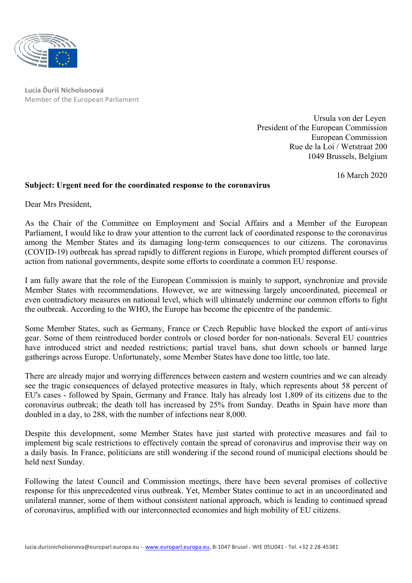

**Lucia Ďuriš Nicholsonová** Member of the European Parliament

> Ursula von der Leyen President of the European Commission European Commission Rue de la Loi / Wetstraat 200 1049 Brussels, Belgium

> > 16 March 2020

## **Subject: Urgent need for the coordinated response to the coronavirus**

Dear Mrs President,

As the Chair of the Committee on Employment and Social Affairs and a Member of the European Parliament, I would like to draw your attention to the current lack of coordinated response to the coronavirus among the Member States and its damaging long-term consequences to our citizens. The coronavirus (COVID-19) outbreak has spread rapidly to different regions in Europe, which prompted different courses of action from national governments, despite some efforts to coordinate a common EU response.

I am fully aware that the role of the European Commission is mainly to support, synchronize and provide Member States with recommendations. However, we are witnessing largely uncoordinated, piecemeal or even contradictory measures on national level, which will ultimately undermine our common efforts to fight the outbreak. According to the WHO, the Europe has become the epicentre of the pandemic.

Some Member States, such as Germany, France or Czech Republic have blocked the export of anti-virus gear. Some of them reintroduced border controls or closed border for non-nationals. Several EU countries have introduced strict and needed restrictions; partial travel bans, shut down schools or banned large gatherings across Europe. Unfortunately, some Member States have done too little, too late.

There are already major and worrying differences between eastern and western countries and we can already see the tragic consequences of delayed protective measures in Italy, which represents about 58 percent of EU's cases - followed by Spain, Germany and France. Italy has already lost 1,809 of its citizens due to the coronavirus outbreak; the death toll has increased by 25% from Sunday. Deaths in Spain have more than doubled in a day, to 288, with the number of infections near 8,000.

Despite this development, some Member States have just started with protective measures and fail to implement big scale restrictions to effectively contain the spread of coronavirus and improvise their way on a daily basis. In France, politicians are still wondering if the second round of municipal elections should be held next Sunday.

Following the latest Council and Commission meetings, there have been several promises of collective response for this unprecedented virus outbreak. Yet, Member States continue to act in an uncoordinated and unilateral manner, some of them without consistent national approach, which is leading to continued spread of coronavirus, amplified with our interconnected economies and high mobility of EU citizens.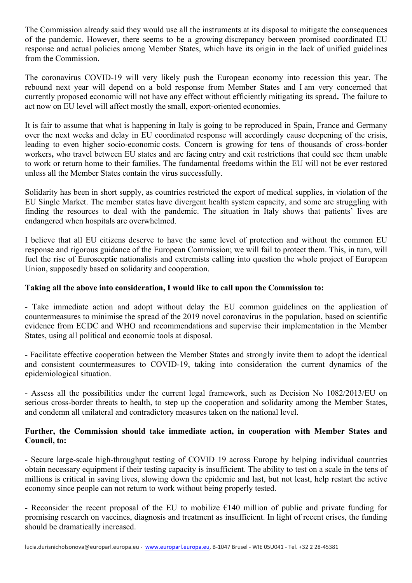The Commission already said they would use all the instruments at its disposal to mitigate the consequences of the pandemic. However, there seems to be a growing discrepancy between promised coordinated EU response and actual policies among Member States, which have its origin in the lack of unified guidelines from the Commission.

The coronavirus COVID-19 will very likely push the European economy into recession this year. The rebound next year will depend on a bold response from Member States and I am very concerned that currently proposed economic will not have any effect without efficiently mitigating its spread**.** The failure to act now on EU level will affect mostly the small, export-oriented economies.

It is fair to assume that what is happening in Italy is going to be reproduced in Spain, France and Germany over the next weeks and delay in EU coordinated response will accordingly cause deepening of the crisis, leading to even higher socio-economic costs. Concern is growing for tens of thousands of cross-border workers**,** who travel between EU states and are facing entry and exit restrictions that could see them unable to work or return home to their families. The fundamental freedoms within the EU will not be ever restored unless all the Member States contain the virus successfully.

Solidarity has been in short supply, as countries restricted the export of medical supplies, in violation of the EU Single Market. The member states have divergent health system capacity, and some are struggling with finding the resources to deal with the pandemic. The situation in Italy shows that patients' lives are endangered when hospitals are overwhelmed.

I believe that all EU citizens deserve to have the same level of protection and without the common EU response and rigorous guidance of the European Commission; we will fail to protect them. This, in turn, will fuel the rise of Euroscept**ic** nationalists and extremists calling into question the whole project of European Union, supposedly based on solidarity and cooperation.

## **Taking all the above into consideration, I would like to call upon the Commission to:**

- Take immediate action and adopt without delay the EU common guidelines on the application of countermeasures to minimise the spread of the 2019 novel coronavirus in the population, based on scientific evidence from ECDC and WHO and recommendations and supervise their implementation in the Member States, using all political and economic tools at disposal.

- Facilitate effective cooperation between the Member States and strongly invite them to adopt the identical and consistent countermeasures to COVID-19, taking into consideration the current dynamics of the epidemiological situation.

- Assess all the possibilities under the current legal framework, such as Decision No 1082/2013/EU on serious cross-border threats to health, to step up the cooperation and solidarity among the Member States, and condemn all unilateral and contradictory measures taken on the national level.

## **Further, the Commission should take immediate action, in cooperation with Member States and Council, to:**

- Secure large-scale high-throughput testing of COVID 19 across Europe by helping individual countries obtain necessary equipment if their testing capacity is insufficient. The ability to test on a scale in the tens of millions is critical in saving lives, slowing down the epidemic and last, but not least, help restart the active economy since people can not return to work without being properly tested.

- Reconsider the recent proposal of the EU to mobilize  $\epsilon$ 140 million of public and private funding for promising research on vaccines, diagnosis and treatment as insufficient. In light of recent crises, the funding should be dramatically increased.